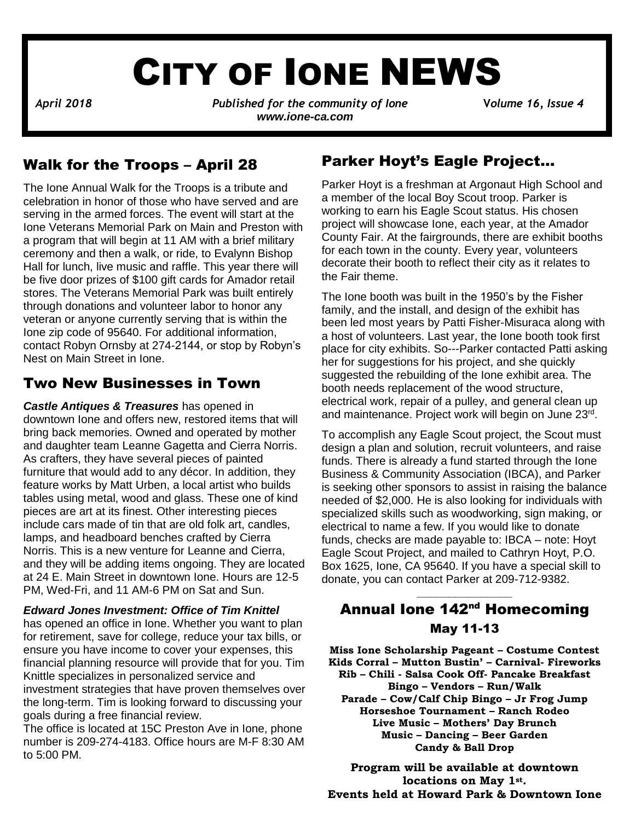# CITY OF IONE NEWS

*April 2018**Published for the community of Ione* **V***olume 16, Issue 4 www.ione-ca.com*

## Walk for the Troops – April 28

The Ione Annual Walk for the Troops is a tribute and celebration in honor of those who have served and are serving in the armed forces. The event will start at the Ione Veterans Memorial Park on Main and Preston with a program that will begin at 11 AM with a brief military ceremony and then a walk, or ride, to Evalynn Bishop Hall for lunch, live music and raffle. This year there will be five door prizes of \$100 gift cards for Amador retail stores. The Veterans Memorial Park was built entirely through donations and volunteer labor to honor any veteran or anyone currently serving that is within the Ione zip code of 95640. For additional information, contact Robyn Ornsby at 274-2144, or stop by Robyn's Nest on Main Street in Ione.

## Two New Businesses in Town

downtown lone and offers new, restored items that will *Castle Antiques & Treasures* has opened in bring back memories. Owned and operated by mother and daughter team Leanne Gagetta and Cierra Norris. As crafters, they have several pieces of painted furniture that would add to any décor. In addition, they feature works by Matt Urben, a local artist who builds tables using metal, wood and glass. These one of kind pieces are art at its finest. Other interesting pieces include cars made of tin that are old folk art, candles, lamps, and headboard benches crafted by Cierra Norris. This is a new venture for Leanne and Cierra, and they will be adding items ongoing. They are located at 24 E. Main Street in downtown Ione. Hours are 12-5 PM, Wed-Fri, and 11 AM-6 PM on Sat and Sun.

*Edward Jones Investment: Office of Tim Knittel* has opened an office in Ione. Whether you want to plan for retirement, save for college, reduce your tax bills, or ensure you have income to cover your expenses, this financial planning resource will provide that for you. Tim Knittle specializes in personalized service and investment strategies that have proven themselves over the long-term. Tim is looking forward to discussing your goals during a free financial review.

The office is located at 15C Preston Ave in Ione, phone number is 209-274-4183. Office hours are M-F 8:30 AM to 5:00 PM.

## Parker Hoyt's Eagle Project…

Parker Hoyt is a freshman at Argonaut High School and a member of the local Boy Scout troop. Parker is working to earn his Eagle Scout status. His chosen project will showcase Ione, each year, at the Amador County Fair. At the fairgrounds, there are exhibit booths for each town in the county. Every year, volunteers decorate their booth to reflect their city as it relates to the Fair theme.

The Ione booth was built in the 1950's by the Fisher family, and the install, and design of the exhibit has been led most years by Patti Fisher-Misuraca along with a host of volunteers. Last year, the Ione booth took first place for city exhibits. So---Parker contacted Patti asking her for suggestions for his project, and she quickly suggested the rebuilding of the Ione exhibit area. The booth needs replacement of the wood structure, electrical work, repair of a pulley, and general clean up and maintenance. Project work will begin on June 23rd.

To accomplish any Eagle Scout project, the Scout must design a plan and solution, recruit volunteers, and raise funds. There is already a fund started through the Ione Business & Community Association (IBCA), and Parker is seeking other sponsors to assist in raising the balance needed of \$2,000. He is also looking for individuals with specialized skills such as woodworking, sign making, or electrical to name a few. If you would like to donate funds, checks are made payable to: IBCA – note: Hoyt Eagle Scout Project, and mailed to Cathryn Hoyt, P.O. Box 1625, Ione, CA 95640. If you have a special skill to donate, you can contact Parker at 209-712-9382.

## Annual Ione 142<sup>nd</sup> Homecoming May 11-13

**\_\_\_\_\_\_\_\_\_\_\_\_\_\_\_**

**Miss Ione Scholarship Pageant – Costume Contest Kids Corral – Mutton Bustin' – Carnival- Fireworks Rib – Chili - Salsa Cook Off- Pancake Breakfast Bingo – Vendors – Run/Walk Parade – Cow/Calf Chip Bingo – Jr Frog Jump Horseshoe Tournament – Ranch Rodeo Live Music – Mothers' Day Brunch Music – Dancing – Beer Garden Candy & Ball Drop** 

**Program will be available at downtown locations on May 1st. Events held at Howard Park & Downtown Ione**